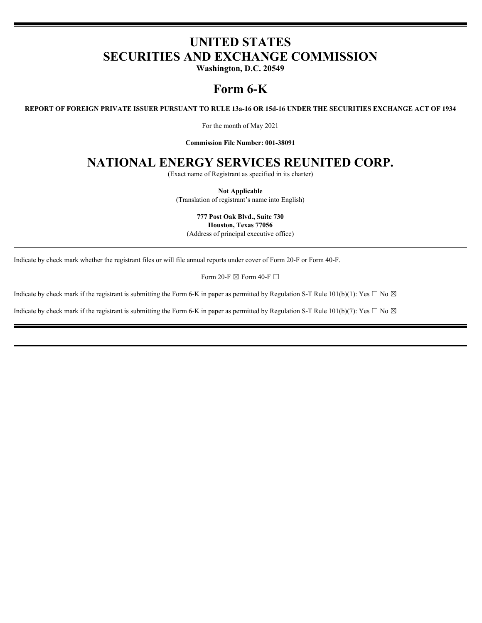# **UNITED STATES SECURITIES AND EXCHANGE COMMISSION**

**Washington, D.C. 20549**

# **Form 6-K**

**REPORT OF FOREIGN PRIVATE ISSUER PURSUANT TO RULE 13a-16 OR 15d-16 UNDER THE SECURITIES EXCHANGE ACT OF 1934**

For the month of May 2021

**Commission File Number: 001-38091**

## **NATIONAL ENERGY SERVICES REUNITED CORP.**

(Exact name of Registrant as specified in its charter)

**Not Applicable** (Translation of registrant's name into English)

**777 Post Oak Blvd., Suite 730 Houston, Texas 77056** (Address of principal executive office)

Indicate by check mark whether the registrant files or will file annual reports under cover of Form 20-F or Form 40-F.

Form 20-F  $\boxtimes$  Form 40-F  $\Box$ 

Indicate by check mark if the registrant is submitting the Form 6-K in paper as permitted by Regulation S-T Rule 101(b)(1): Yes  $\Box$  No  $\boxtimes$ 

Indicate by check mark if the registrant is submitting the Form 6-K in paper as permitted by Regulation S-T Rule 101(b)(7): Yes  $\Box$  No  $\boxtimes$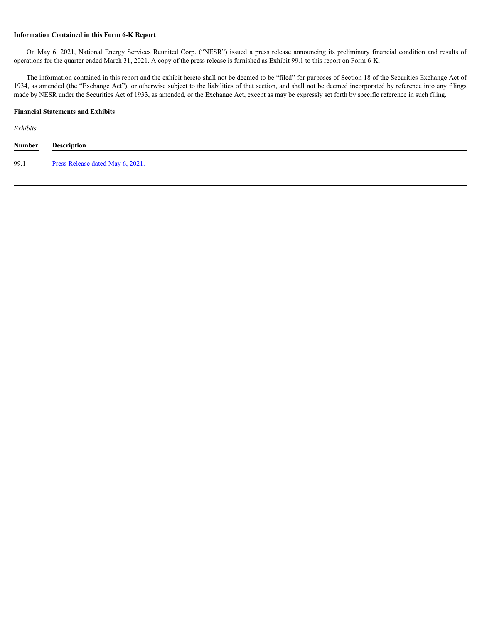#### **Information Contained in this Form 6-K Report**

operations for the quarter ended March 31, 2021. A copy of the press release is furnished as Exhibit 99.1 to this report on Form 6-K.

**CON MAY 6, 2021, National Energy Services Reunited Corp.** ("NESR") issued a press release announcing its preliminary financial condition and results of ations for the quarter ended March 31, 2021. A copy of the press rele The information contained in this report and the exhibit hereto shall not be deemed to be "filed" for purposes of Section 18 of the Securities Exchange Act of 1934, as amended (the "Exchange Act"), or otherwise subject to the liabilities of that section, and shall not be deemed incorporated by reference into any filings made by NESR under the Securities Act of 1933, as amended, or the Exchange Act, except as may be expressly set forth by specific reference in such filing.

#### **Financial Statements and Exhibits**

*Exhibits.*

| Number<br><b>Contract Contract Contract Contract</b> | Description                      |
|------------------------------------------------------|----------------------------------|
| 99.1                                                 | Press Release dated May 6, 2021. |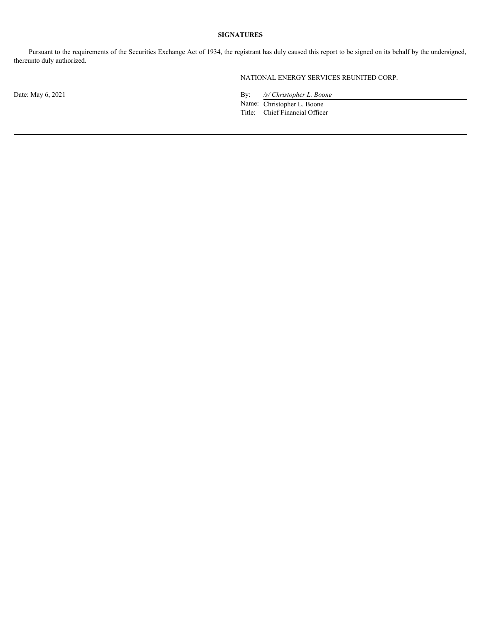### **SIGNATURES**

Pursuant to the requirements of the Securities Exchange Act of 1934, the registrant has duly caused this report to be signed on its behalf by the undersigned, thereunto duly authorized.

NATIONAL ENERGY SERVICES REUNITED CORP.

Date: May 6, 2021 By: */s/ Christopher L. Boone*

Name: Christopher L. Boone Title: Chief Financial Officer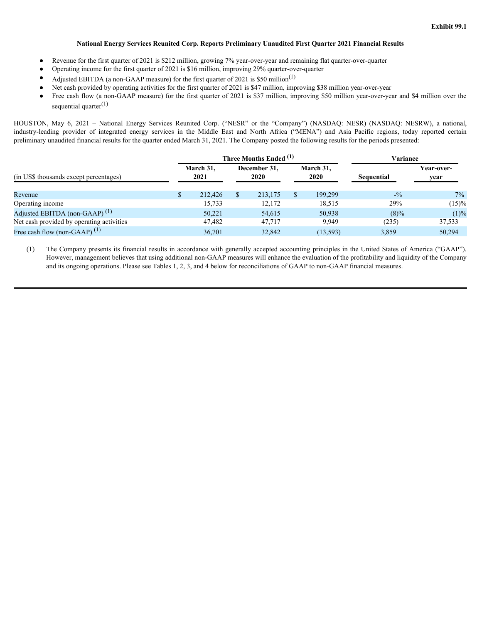#### **National Energy Services Reunited Corp. Reports Preliminary Unaudited First Quarter 2021 Financial Results**

- <span id="page-3-0"></span>Revenue for the first quarter of 2021 is \$212 million, growing 7% year-over-year and remaining flat quarter-over-quarter
- Operating income for the first quarter of 2021 is \$16 million, improving 29% quarter-over-quarter
- Adjusted EBITDA (a non-GAAP measure) for the first quarter of 2021 is \$50 million<sup>(1)</sup>
- Net cash provided by operating activities for the first quarter of 2021 is \$47 million, improving \$38 million year-over-year
- Free cash flow (a non-GAAP measure) for the first quarter of 2021 is \$37 million, improving \$50 million year-over-year and \$4 million over the sequential quarter $(1)$

|                                                                                                                                                                                                                                                                                                  |                   |              |                        |                 |                  | Exhibit 99.1   |
|--------------------------------------------------------------------------------------------------------------------------------------------------------------------------------------------------------------------------------------------------------------------------------------------------|-------------------|--------------|------------------------|-----------------|------------------|----------------|
|                                                                                                                                                                                                                                                                                                  |                   |              |                        |                 |                  |                |
| National Energy Services Reunited Corp. Reports Preliminary Unaudited First Quarter 2021 Financial Results                                                                                                                                                                                       |                   |              |                        |                 |                  |                |
| Revenue for the first quarter of 2021 is \$212 million, growing 7% year-over-year and remaining flat quarter-over-quarter<br>٠                                                                                                                                                                   |                   |              |                        |                 |                  |                |
| Operating income for the first quarter of 2021 is \$16 million, improving 29% quarter-over-quarter                                                                                                                                                                                               |                   |              |                        |                 |                  |                |
| Adjusted EBITDA (a non-GAAP measure) for the first quarter of 2021 is \$50 million <sup>(1)</sup><br>$\bullet$                                                                                                                                                                                   |                   |              |                        |                 |                  |                |
| Net cash provided by operating activities for the first quarter of 2021 is \$47 million, improving \$38 million year-over-year<br>Free cash flow (a non-GAAP measure) for the first quarter of 2021 is \$37 million, improving \$50 million year-over-year and \$4 million over the<br>$\bullet$ |                   |              |                        |                 |                  |                |
| sequential quarter $^{(1)}$                                                                                                                                                                                                                                                                      |                   |              |                        |                 |                  |                |
|                                                                                                                                                                                                                                                                                                  |                   |              |                        |                 |                  |                |
| HOUSTON, May 6, 2021 - National Energy Services Reunited Corp. ("NESR" or the "Company") (NASDAQ: NESR) (NASDAQ: NESRW), a national,<br>industry-leading provider of integrated energy services in the Middle East and North Africa ("MENA") and Asia Pacific regions, today reported certain    |                   |              |                        |                 |                  |                |
| preliminary unaudited financial results for the quarter ended March 31, 2021. The Company posted the following results for the periods presented:                                                                                                                                                |                   |              |                        |                 |                  |                |
|                                                                                                                                                                                                                                                                                                  |                   |              |                        |                 |                  |                |
|                                                                                                                                                                                                                                                                                                  |                   |              | Three Months Ended (1) | March 31,       | <b>Variance</b>  | Year-over-     |
|                                                                                                                                                                                                                                                                                                  |                   |              |                        |                 |                  |                |
|                                                                                                                                                                                                                                                                                                  | March 31,<br>2021 |              | December 31,<br>2020   | 2020            |                  |                |
| (in US\$ thousands except percentages)                                                                                                                                                                                                                                                           |                   |              |                        |                 | Sequential       | year           |
| Revenue                                                                                                                                                                                                                                                                                          | 212,426           | <sup>S</sup> | 213,175                | 199,299<br>- \$ | $-^{0}/_{0}$     | $7\%$          |
| Operating income                                                                                                                                                                                                                                                                                 | 15,733            |              | 12,172                 | 18,515          | 29%              | $(15)\%$       |
| Adjusted EBITDA (non-GAAP) <sup>(1)</sup><br>Net cash provided by operating activities                                                                                                                                                                                                           | 50,221<br>47,482  |              | 54,615<br>47,717       | 50,938<br>9,949 | $(8)\%$<br>(235) | (1)%<br>37,533 |

(1) The Company presents its financial results in accordance with generally accepted accounting principles in the United States of America ("GAAP"). However, management believes that using additional non-GAAP measures will enhance the evaluation of the profitability and liquidity of the Company and its ongoing operations. Please see Tables 1, 2, 3, and 4 below for reconciliations of GAAP to non-GAAP financial measures.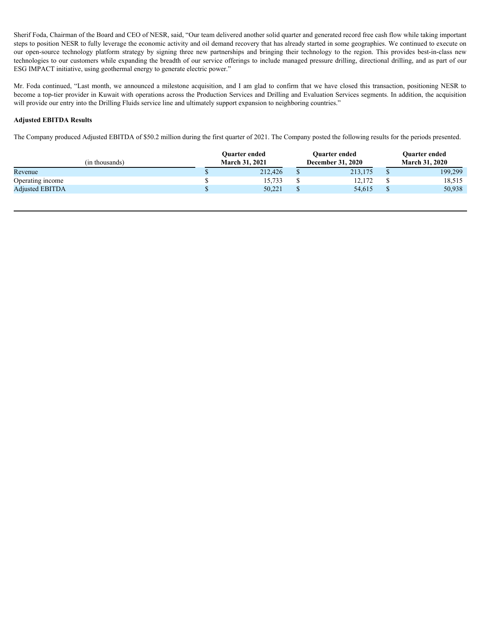Sherif Foda, Chairman of the Board and CEO of NESR, said, "Our team delivered another solid quarter and generated record free cash flow while taking important steps to position NESR to fully leverage the economic activity and oil demand recovery that has already started in some geographies. We continued to execute on Sherif Foda, Chairman of the Board and CEO of NESR, said, "Our team delivered another solid quarter and generated record free cash flow while taking important<br>steps to position NESR to fully leverage the economic activity technologies to our customers while expanding the breadth of our service offerings to include managed pressure drilling, directional drilling, and as part of our ESG IMPACT initiative, using geothermal energy to generate electric power."

Mr. Foda continued, "Last month, we announced a milestone acquisition, and I am glad to confirm that we have closed this transaction, positioning NESR to become a top-tier provider in Kuwait with operations across the Production Services and Drilling and Evaluation Services segments. In addition, the acquisition will provide our entry into the Drilling Fluids service line and ultimately support expansion to neighboring countries."

### **Adjusted EBITDA Results**

The Company produced Adjusted EBITDA of \$50.2 million during the first quarter of 2021. The Company posted the following results for the periods presented.

|                        |  | <b>Ouarter ended</b>  |  | <b>Ouarter ended</b>     |  | <b>Ouarter ended</b>  |
|------------------------|--|-----------------------|--|--------------------------|--|-----------------------|
| (in thousands)         |  | <b>March 31, 2021</b> |  | <b>December 31, 2020</b> |  | <b>March 31, 2020</b> |
| Revenue                |  | 212,426               |  | 213,175                  |  | 199,299               |
| Operating income       |  | 15,733                |  | 12,172                   |  | 18,515                |
| <b>Adjusted EBITDA</b> |  | 50,221                |  | 54,615                   |  | 50,938                |
|                        |  |                       |  |                          |  |                       |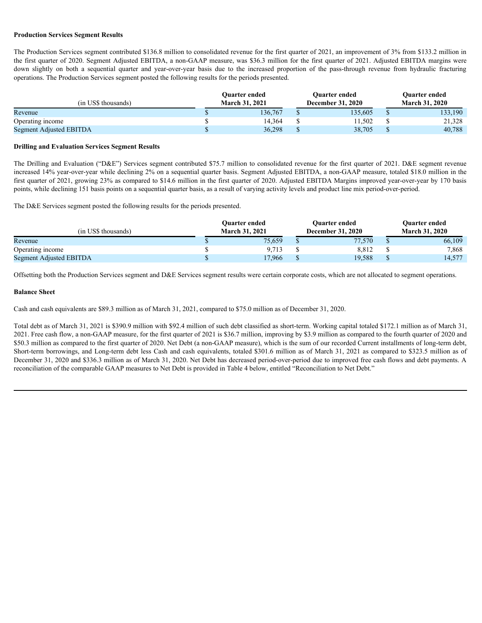#### **Production Services Segment Results**

| <b>Production Services Segment Results</b><br>The Production Services segment contributed \$136.8 million to consolidated revenue for the first quarter of 2021, an improvement of 3% from \$133.2 million in<br>the first quarter of 2020. Segment Adjusted EBITDA, a non-GAAP measure, was \$36.3 million for the first quarter of 2021. Adjusted EBITDA margins were<br>down slightly on both a sequential quarter and year-over-year basis due to the increased proportion of the pass-through revenue from hydraulic fracturing<br>operations. The Production Services segment posted the following results for the periods presented.<br>Quarter ended<br>Quarter ended<br>Quarter ended<br>(in US\$ thousands)<br>March 31, 2021<br><b>December 31, 2020</b><br><b>March 31, 2020</b><br>136,767<br>135,605<br>133,190<br>Revenue<br>$\mathbb{S}$<br><sup>S</sup><br>Operating income<br>14,364<br>11,502<br>21,328<br><sup>\$</sup><br>38,705<br>40,788<br>Segment Adjusted EBITDA<br>36,298<br>-S<br>-8 |  |  |  |  |  |  |
|------------------------------------------------------------------------------------------------------------------------------------------------------------------------------------------------------------------------------------------------------------------------------------------------------------------------------------------------------------------------------------------------------------------------------------------------------------------------------------------------------------------------------------------------------------------------------------------------------------------------------------------------------------------------------------------------------------------------------------------------------------------------------------------------------------------------------------------------------------------------------------------------------------------------------------------------------------------------------------------------------------------|--|--|--|--|--|--|
|                                                                                                                                                                                                                                                                                                                                                                                                                                                                                                                                                                                                                                                                                                                                                                                                                                                                                                                                                                                                                  |  |  |  |  |  |  |
|                                                                                                                                                                                                                                                                                                                                                                                                                                                                                                                                                                                                                                                                                                                                                                                                                                                                                                                                                                                                                  |  |  |  |  |  |  |
|                                                                                                                                                                                                                                                                                                                                                                                                                                                                                                                                                                                                                                                                                                                                                                                                                                                                                                                                                                                                                  |  |  |  |  |  |  |
|                                                                                                                                                                                                                                                                                                                                                                                                                                                                                                                                                                                                                                                                                                                                                                                                                                                                                                                                                                                                                  |  |  |  |  |  |  |
|                                                                                                                                                                                                                                                                                                                                                                                                                                                                                                                                                                                                                                                                                                                                                                                                                                                                                                                                                                                                                  |  |  |  |  |  |  |
|                                                                                                                                                                                                                                                                                                                                                                                                                                                                                                                                                                                                                                                                                                                                                                                                                                                                                                                                                                                                                  |  |  |  |  |  |  |
|                                                                                                                                                                                                                                                                                                                                                                                                                                                                                                                                                                                                                                                                                                                                                                                                                                                                                                                                                                                                                  |  |  |  |  |  |  |
|                                                                                                                                                                                                                                                                                                                                                                                                                                                                                                                                                                                                                                                                                                                                                                                                                                                                                                                                                                                                                  |  |  |  |  |  |  |
|                                                                                                                                                                                                                                                                                                                                                                                                                                                                                                                                                                                                                                                                                                                                                                                                                                                                                                                                                                                                                  |  |  |  |  |  |  |
|                                                                                                                                                                                                                                                                                                                                                                                                                                                                                                                                                                                                                                                                                                                                                                                                                                                                                                                                                                                                                  |  |  |  |  |  |  |
|                                                                                                                                                                                                                                                                                                                                                                                                                                                                                                                                                                                                                                                                                                                                                                                                                                                                                                                                                                                                                  |  |  |  |  |  |  |
|                                                                                                                                                                                                                                                                                                                                                                                                                                                                                                                                                                                                                                                                                                                                                                                                                                                                                                                                                                                                                  |  |  |  |  |  |  |
|                                                                                                                                                                                                                                                                                                                                                                                                                                                                                                                                                                                                                                                                                                                                                                                                                                                                                                                                                                                                                  |  |  |  |  |  |  |
|                                                                                                                                                                                                                                                                                                                                                                                                                                                                                                                                                                                                                                                                                                                                                                                                                                                                                                                                                                                                                  |  |  |  |  |  |  |
|                                                                                                                                                                                                                                                                                                                                                                                                                                                                                                                                                                                                                                                                                                                                                                                                                                                                                                                                                                                                                  |  |  |  |  |  |  |
|                                                                                                                                                                                                                                                                                                                                                                                                                                                                                                                                                                                                                                                                                                                                                                                                                                                                                                                                                                                                                  |  |  |  |  |  |  |
|                                                                                                                                                                                                                                                                                                                                                                                                                                                                                                                                                                                                                                                                                                                                                                                                                                                                                                                                                                                                                  |  |  |  |  |  |  |
|                                                                                                                                                                                                                                                                                                                                                                                                                                                                                                                                                                                                                                                                                                                                                                                                                                                                                                                                                                                                                  |  |  |  |  |  |  |
|                                                                                                                                                                                                                                                                                                                                                                                                                                                                                                                                                                                                                                                                                                                                                                                                                                                                                                                                                                                                                  |  |  |  |  |  |  |
|                                                                                                                                                                                                                                                                                                                                                                                                                                                                                                                                                                                                                                                                                                                                                                                                                                                                                                                                                                                                                  |  |  |  |  |  |  |
|                                                                                                                                                                                                                                                                                                                                                                                                                                                                                                                                                                                                                                                                                                                                                                                                                                                                                                                                                                                                                  |  |  |  |  |  |  |
|                                                                                                                                                                                                                                                                                                                                                                                                                                                                                                                                                                                                                                                                                                                                                                                                                                                                                                                                                                                                                  |  |  |  |  |  |  |
|                                                                                                                                                                                                                                                                                                                                                                                                                                                                                                                                                                                                                                                                                                                                                                                                                                                                                                                                                                                                                  |  |  |  |  |  |  |
|                                                                                                                                                                                                                                                                                                                                                                                                                                                                                                                                                                                                                                                                                                                                                                                                                                                                                                                                                                                                                  |  |  |  |  |  |  |
|                                                                                                                                                                                                                                                                                                                                                                                                                                                                                                                                                                                                                                                                                                                                                                                                                                                                                                                                                                                                                  |  |  |  |  |  |  |
|                                                                                                                                                                                                                                                                                                                                                                                                                                                                                                                                                                                                                                                                                                                                                                                                                                                                                                                                                                                                                  |  |  |  |  |  |  |
|                                                                                                                                                                                                                                                                                                                                                                                                                                                                                                                                                                                                                                                                                                                                                                                                                                                                                                                                                                                                                  |  |  |  |  |  |  |
|                                                                                                                                                                                                                                                                                                                                                                                                                                                                                                                                                                                                                                                                                                                                                                                                                                                                                                                                                                                                                  |  |  |  |  |  |  |
|                                                                                                                                                                                                                                                                                                                                                                                                                                                                                                                                                                                                                                                                                                                                                                                                                                                                                                                                                                                                                  |  |  |  |  |  |  |
|                                                                                                                                                                                                                                                                                                                                                                                                                                                                                                                                                                                                                                                                                                                                                                                                                                                                                                                                                                                                                  |  |  |  |  |  |  |
|                                                                                                                                                                                                                                                                                                                                                                                                                                                                                                                                                                                                                                                                                                                                                                                                                                                                                                                                                                                                                  |  |  |  |  |  |  |

#### **Drilling and Evaluation Services Segment Results**

The Drilling and Evaluation ("D&E") Services segment contributed \$75.7 million to consolidated revenue for the first quarter of 2021. D&E segment revenue increased 14% year-over-year while declining 2% on a sequential quarter basis. Segment Adjusted EBITDA, a non-GAAP measure, totaled \$18.0 million in the first quarter of 2021, growing 23% as compared to \$14.6 million in the first quarter of 2020. Adjusted EBITDA Margins improved year-over-year by 170 basis points, while declining 151 basis points on a sequential quarter basis, as a result of varying activity levels and product line mix period-over-period.

The D&E Services segment posted the following results for the periods presented.

|                       | <b>Ouarter ended</b> |                          | <b>Ouarter ended</b> | <b>Ouarter ended</b>  |
|-----------------------|----------------------|--------------------------|----------------------|-----------------------|
| <b>March 31, 2021</b> |                      | <b>December 31, 2020</b> |                      | <b>March 31, 2020</b> |
|                       | 75,659               |                          | 77,570               | 66,109                |
|                       | 9,713                |                          | 8,812                | 7,868                 |
|                       | 17,966               |                          | 19,588               | 14,577                |
|                       |                      |                          |                      |                       |

Offsetting both the Production Services segment and D&E Services segment results were certain corporate costs, which are not allocated to segment operations.

#### **Balance Sheet**

Cash and cash equivalents are \$89.3 million as of March 31, 2021, compared to \$75.0 million as of December 31, 2020.

Total debt as of March 31, 2021 is \$390.9 million with \$92.4 million of such debt classified as short-term. Working capital totaled \$172.1 million as of March 31, 2021. Free cash flow, a non-GAAP measure, for the first quarter of 2021 is \$36.7 million, improving by \$3.9 million as compared to the fourth quarter of 2020 and \$50.3 million as compared to the first quarter of 2020. Net Debt (a non-GAAP measure), which is the sum of our recorded Current installments of long-term debt, Short-term borrowings, and Long-term debt less Cash and cash equivalents, totaled \$301.6 million as of March 31, 2021 as compared to \$323.5 million as of December 31, 2020 and \$336.3 million as of March 31, 2020. Net Debt has decreased period-over-period due to improved free cash flows and debt payments. A reconciliation of the comparable GAAP measures to Net Debt is provided in Table 4 below, entitled "Reconciliation to Net Debt."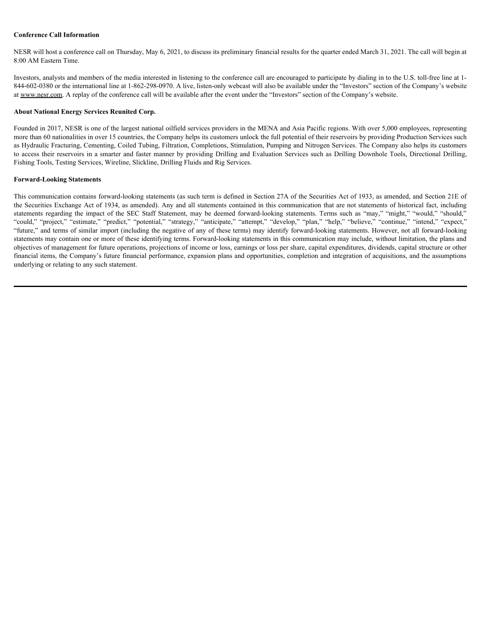#### **Conference Call Information**

NESR will host a conference call on Thursday, May 6, 2021, to discuss its preliminary financial results for the quarter ended March 31, 2021. The call will begin at 8:00 AM Eastern Time.

Investors, analysts and members of the media interested in listening to the conference call are encouraged to participate by dialing in to the U.S. toll-free line at 1- 844-602-0380 or the international line at 1-862-298-0970. A live, listen-only webcast will also be available under the "Investors" section of the Company's website at www.nesr.com. A replay of the conference call will be available after the event under the "Investors" section of the Company's website.

#### **About National Energy Services Reunited Corp.**

Founded in 2017, NESR is one of the largest national oilfield services providers in the MENA and Asia Pacific regions. With over 5,000 employees, representing more than 60 nationalities in over 15 countries, the Company helps its customers unlock the full potential of their reservoirs by providing Production Services such as Hydraulic Fracturing, Cementing, Coiled Tubing, Filtration, Completions, Stimulation, Pumping and Nitrogen Services. The Company also helps its customers to access their reservoirs in a smarter and faster manner by providing Drilling and Evaluation Services such as Drilling Downhole Tools, Directional Drilling, Fishing Tools, Testing Services, Wireline, Slickline, Drilling Fluids and Rig Services.

#### **Forward-Looking Statements**

This communication contains forward-looking statements (as such term is defined in Section 27A of the Securities Act of 1933, as amended, and Section 21E of the Securities Exchange Act of 1934, as amended). Any and all statements contained in this communication that are not statements of historical fact, including Conference Call Information<br>NESR will host a conference cult on Thursday, May 6, 2021, to discuss its preliminary financial creaties for the quarter ended March 31, 2021. The call will begin at<br>Newstre, analysts and nemehr Conference Call Information<br>
NESR will bost a conference call on Thursday, May 6, 2021, to discuss its preliminary funncial results for the quarter ended March 31, 2021. The call will begin at<br>
Newstay, may be remenses of "future," and terms of similar import (including the negative of any of these terms) may identify forward-looking statements. However, not all forward-looking statements may contain one or more of these identifying terms. Forward-looking statements in this communication may include, without limitation, the plans and objectives of management for future operations, projections of income or loss, earnings or loss per share, capital expenditures, dividends, capital structure or other financial items, the Company's future financial performance, expansion plans and opportunities, completion and integration of acquisitions, and the assumptions underlying or relating to any such statement.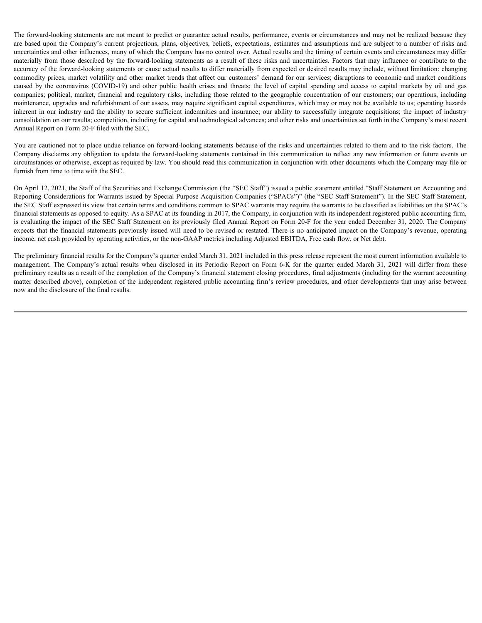The forward-looking statements are not meant to predict or guarantee actual results, performance, events or circumstances and may not be realized because they are based upon the Company's current projections, plans, objectives, beliefs, expectations, estimates and assumptions and are subject to a number of risks and uncertainties and other influences, many of which the Company has no control over. Actual results and the timing of certain events and circumstances may differ The forward-looking statements are not meant to predict or guarantee actual results, performance, events or circumstances and may not be realized because they are based upon the Company's current projections, plans, object accuracy of the forward-looking statements or cause actual results to differ materially from expected or desired results may include, without limitation: changing commodity prices, market volatility and other market trends that affect our customers' demand for our services; disruptions to economic and market conditions The forward-looking statements are not meant to predict or guarantee actual results, performance, events or circumstances and may not be realized because they are based upon the Company's current projections, plans, object companies; political, market, financial and regulatory risks, including those related to the geographic concentration of our customers; our operations, including maintenance, upgrades and refurbishment of our assets, may require significant capital expenditures, which may or may not be available to us; operating hazards The forward-looking statements are not meant to predict or guarantee actual results, performance, events or circumstances and may not be realized because they are based upon the Company's current projections, phans, object consolidation on our results; competition, including for capital and technological advances; and other risks and uncertainties set forth in the Company's most recent Annual Report on Form 20-F filed with the SEC. The forestabodolog entermate are not meant to predice e guarantee stud could, policianas, events or sinustances and any not be considered to the company's meant of the company's results and the studies of the company's res

You are cautioned not to place undue reliance on forward-looking statements because of the risks and uncertainties related to them and to the risk factors. The Company disclaims any obligation to update the forward-looking statements contained in this communication to reflect any new information or future events or circumstances or otherwise, except as required by law. You should read this communication in conjunction with other documents which the Company may file or furnish from time to time with the SEC.

On April 12, 2021, the Staff of the Securities and Exchange Commission (the "SEC Staff") issued a public statement entitled "Staff Statement on Accounting and Reporting Considerations for Warrants issued by Special Purpose Acquisition Companies ("SPACs")" (the "SEC Staff Statement"). In the SEC Staff Statement, the SEC Staff expressed its view that certain terms and conditions common to SPAC warrants may require the warrants to be classified as liabilities on the SPAC's financial statements as opposed to equity. As a SPAC at its founding in 2017, the Company, in conjunction with its independent registered public accounting firm, is evaluating the impact of the SEC Staff Statement on its previously filed Annual Report on Form 20-F for the year ended December 31, 2020. The Company expects that the financial statements previously issued will need to be revised or restated. There is no anticipated impact on the Company's revenue, operating income, net cash provided by operating activities, or the non-GAAP metrics including Adjusted EBITDA, Free cash flow, or Net debt.

The preliminary financial results for the Company's quarter ended March 31, 2021 included in this press release represent the most current information available to preliminary results as a result of the completion of the Company's financial statement closing procedures, final adjustments (including for the warrant accounting matter described above), completion of the independent registered public accounting firm's review procedures, and other developments that may arise between now and the disclosure of the final results.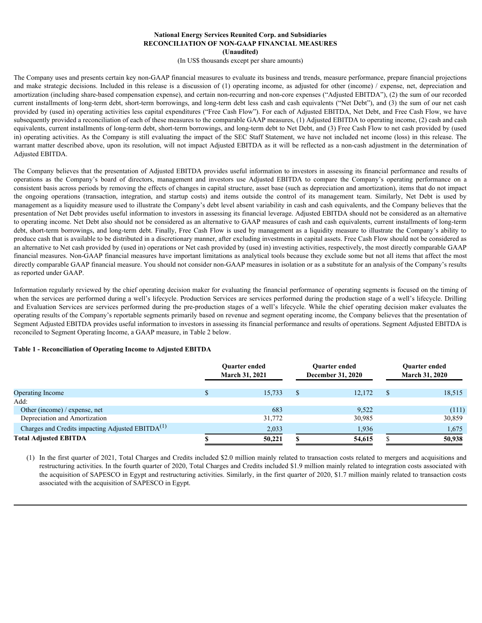#### **National Energy Services Reunited Corp. and Subsidiaries RECONCILIATION OF NON-GAAP FINANCIAL MEASURES (Unaudited)**

(In US\$ thousands except per share amounts)

The Company uses and presents certain key non-GAAP financial measures to evaluate its business and trends, measure performance, prepare financial projections **EXECTS SECTS AND SECTS AND SECTS AND SECTS AND SECTS AND SECTS AND SECTS AND SECTS AND SECTS AND SECTS (INCLUATION OF ONC-GAAP FINANCIAL MEASURES (INCLUATION OF A CHARGE INTO A CHARGE INTO A CHARGE INTERNATION (INCLUATION** amortization (including share-based compensation expense), and certain non-recurring and non-core expenses ("Adjusted EBITDA"), (2) the sum of our recorded current installments of long-term debt, short-term borrowings, and long-term debt less cash and cash equivalents ("Net Debt"), and (3) the sum of our net cash provided by (used in) operating activities less capital expenditures ("Free Cash Flow"). For each of Adjusted EBITDA, Net Debt, and Free Cash Flow, we have subsequently provided a reconciliation of each of these measures to the comparable GAAP measures, (1) Adjusted EBITDA to operating income, (2) cash and cash equivalents, current installments of long-term debt, short-term borrowings, and long-term debt to Net Debt, and (3) Free Cash Flow to net cash provided by (used in) operating activities. As the Company is still evaluating the impact of the SEC Staff Statement, we have not included net income (loss) in this release. The warrant matter described above, upon its resolution, will not impact Adjusted EBITDA as it will be reflected as a non-cash adjustment in the determination of Adjusted EBITDA. **National Energy Services Reunited Corp, and Subsidiaries<br>
RECONCILIATION OF NON-GAAP FINANCIAL MEASURES<br>
(In USS thousands except per share amounts)<br>
(In USS thousands except per share amounts)<br>
The Company uses and pres** 

The Company believes that the presentation of Adjusted EBITDA provides useful information to investors in assessing its financial performance and results of consistent basis across periods by removing the effects of changes in capital structure, asset base (such as depreciation and amortization), items that do not impact **National Energy Services Required Corp. and Subsidiaries<br>
RECONCILIATION OF NOA-CAAP FINANCIAL MEASURES<br>
(In USS flousands except per share amounts)<br>
the Company areas conditions (the management of contained measures to** management as a liquidity measure used to illustrate the Company's debt level absent variability in cash and cash equivalents, and the Company believes that the presentation of Net Debt provides useful information to investors in assessing its financial leverage. Adjusted EBITDA should not be considered as an alternative to operating income. Net Debt also should not be considered as an alternative to GAAP measures of cash and cash equivalents, current installments of long-term debt, short-term borrowings, and long-term debt. Finally, Free Cash Flow is used by management as a liquidity measure to illustrate the Company's ability to produce cash that is available to be distributed in a discretionary manner, after excluding investments in capital assets. Free Cash Flow should not be considered as an alternative to Net cash provided by (used in) operations or Net cash provided by (used in) investing activities, respectively, the most directly comparable GAAP financial measures. Non-GAAP financial measures have important limitations as analytical tools because they exclude some but not all items that affect the most directly comparable GAAP financial measure. You should not consider non-GAAP measures in isolation or as a substitute for an analysis of the Company's results as reported under GAAP. The Company series and production statistics (its Horizonte to evaluate is the mean of a statistical population of a statistical policies are the pre-profile and the product of a well-statistical energy of the chief operat

Information regularly reviewed by the chief operating decision maker for evaluating the financial performance of operating segments is focused on the timing of when the services are performed during a well's lifecycle. Production Services are services performed during the production stage of a well's lifecycle. Drilling operating results of the Company's reportable segments primarily based on revenue and segment operating income, the Company believes that the presentation of Segment Adjusted EBITDA provides useful information to investors in assessing its financial performance and results of operations. Segment Adjusted EBITDA is reconciled to Segment Operating Income, a GAAP measure, in Table 2 below.

#### **Table 1 - Reconciliation of Operating Income to Adjusted EBITDA**

|                                                              | <b>Ouarter ended</b><br><b>March 31, 2021</b> |        | <b>Ouarter ended</b><br><b>December 31, 2020</b> |        |  | <b>Ouarter ended</b><br><b>March 31, 2020</b> |  |  |
|--------------------------------------------------------------|-----------------------------------------------|--------|--------------------------------------------------|--------|--|-----------------------------------------------|--|--|
| Operating Income                                             |                                               | 15,733 |                                                  | 12,172 |  | 18,515                                        |  |  |
| Add:                                                         |                                               |        |                                                  |        |  |                                               |  |  |
| Other (income) / expense, net                                |                                               | 683    |                                                  | 9,522  |  | (111)                                         |  |  |
| Depreciation and Amortization                                |                                               | 31,772 |                                                  | 30,985 |  | 30,859                                        |  |  |
| Charges and Credits impacting Adjusted EBITDA <sup>(1)</sup> |                                               | 2,033  |                                                  | 1,936  |  | 1,675                                         |  |  |
| <b>Total Adjusted EBITDA</b>                                 |                                               | 50,221 |                                                  | 54,615 |  | 50,938                                        |  |  |
|                                                              |                                               |        |                                                  |        |  |                                               |  |  |

(1) In the first quarter of 2021, Total Charges and Credits included \$2.0 million mainly related to transaction costs related to mergers and acquisitions and restructuring activities. In the fourth quarter of 2020, Total Charges and Credits included \$1.9 million mainly related to integration costs associated with the acquisition of SAPESCO in Egypt and restructuring activities. Similarly, in the first quarter of 2020, \$1.7 million mainly related to transaction costs associated with the acquisition of SAPESCO in Egypt.